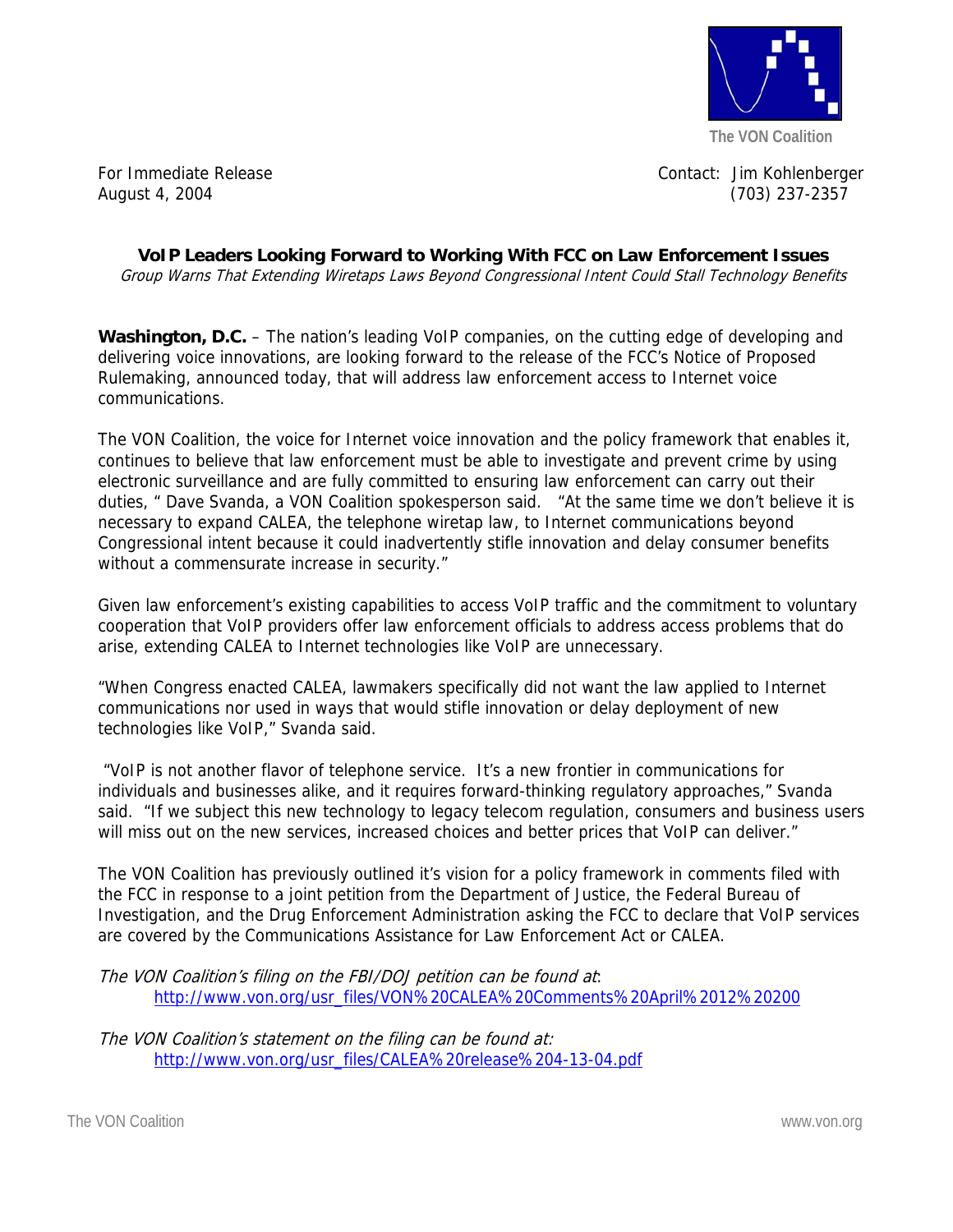

For Immediate Release Contact: Jim Kohlenberger August 4, 2004 (703) 237-2357

**VoIP Leaders Looking Forward to Working With FCC on Law Enforcement Issues**  Group Warns That Extending Wiretaps Laws Beyond Congressional Intent Could Stall Technology Benefits

**Washington, D.C.** – The nation's leading VoIP companies, on the cutting edge of developing and delivering voice innovations, are looking forward to the release of the FCC's Notice of Proposed Rulemaking, announced today, that will address law enforcement access to Internet voice communications.

The VON Coalition, the voice for Internet voice innovation and the policy framework that enables it, continues to believe that law enforcement must be able to investigate and prevent crime by using electronic surveillance and are fully committed to ensuring law enforcement can carry out their duties, " Dave Svanda, a VON Coalition spokesperson said. "At the same time we don't believe it is necessary to expand CALEA, the telephone wiretap law, to Internet communications beyond Congressional intent because it could inadvertently stifle innovation and delay consumer benefits without a commensurate increase in security."

Given law enforcement's existing capabilities to access VoIP traffic and the commitment to voluntary cooperation that VoIP providers offer law enforcement officials to address access problems that do arise, extending CALEA to Internet technologies like VoIP are unnecessary.

"When Congress enacted CALEA, lawmakers specifically did not want the law applied to Internet communications nor used in ways that would stifle innovation or delay deployment of new technologies like VoIP," Svanda said.

 "VoIP is not another flavor of telephone service. It's a new frontier in communications for individuals and businesses alike, and it requires forward-thinking regulatory approaches," Svanda said. "If we subject this new technology to legacy telecom regulation, consumers and business users will miss out on the new services, increased choices and better prices that VoIP can deliver."

The VON Coalition has previously outlined it's vision for a policy framework in comments filed with the FCC in response to a joint petition from the Department of Justice, the Federal Bureau of Investigation, and the Drug Enforcement Administration asking the FCC to declare that VoIP services are covered by the Communications Assistance for Law Enforcement Act or CALEA.

The VON Coalition's filing on the FBI/DOJ petition can be found at: http://www.von.org/usr\_files/VON%20CALEA%20Comments%20April%2012%20200

The VON Coalition's statement on the filing can be found at: http://www.von.org/usr\_files/CALEA%20release%204-13-04.pdf